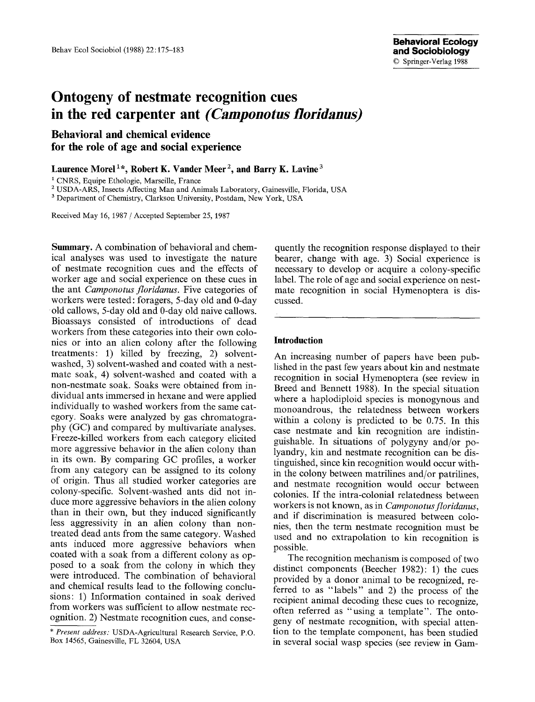# **Ontogeny of nestmate recognition cues in the red carpenter ant** *(Camponotus floridanus)*

## **Behavioral and chemical evidence for the role of age and social experience**

Laurence Morel<sup>1\*</sup>, Robert K. Vander Meer<sup>2</sup>, and Barry K. Lavine<sup>3</sup>

<sup>1</sup> CNRS, Equipe Ethologie, Marseille, France

2 USDA-ARS, Insects Affecting Man and Animals Laboratory, Gainesville, Florida, USA

<sup>3</sup> Department of Chemistry, Clarkson University, Postdam, New York, USA

Received May 16, 1987 / Accepted September 25, 1987

**Summary.** A combination of behavioral and chemical analyses was used to investigate the nature of nestmate recognition cues and the effects of worker age and social experience on these cues in the ant *Camponotus floridanus.* Five categories of workers were tested: foragers, 5-day old and 0-day old callows, 5-day old and 0-day old naive callows. Bioassays consisted of introductions of dead workers from these categories into their own colonies or into an alien colony after the following treatments: 1) killed by freezing, 2) solventwashed, 3) solvent-washed and coated with a nestmate soak, 4) solvent-washed and coated with a non-nestmate soak. Soaks were obtained from individual ants immersed in hexane and were applied individually to washed workers from the same category. Soaks were analyzed by gas chromatography (GC) and compared by multivariate analyses. Freeze-killed workers from each category elicited more aggressive behavior in the alien colony than in its own. By comparing GC profiles, a worker from any category can be assigned to its colony of origin. Thus all studied worker categories are colony-specific. Solvent-washed ants did not induce more aggressive behaviors in the alien colony than in their own, but they induced significantly less aggressivity in an alien colony than nontreated dead ants from the same category. Washed ants induced more aggressive behaviors when coated with a soak from a different colony as opposed to a soak from the colony in which they were introduced. The combination of behavioral and chemical results lead to the following conclusions: 1) Information contained in soak derived from workers was sufficient to allow nestmate recognition. 2) Nestmate recognition cues, and consequently the recognition response displayed to their bearer, change with age. 3) Social experience is necessary to develop or acquire a colony-specific label. The role of age and social experience on nestmate recognition in social Hymenoptera is discussed.

## **Introduction**

An increasing number of papers have been published in the past few years about kin and nestmate recognition in social Hymenoptera (see review in Breed and Bennett 1988). In the special situation where a haplodiploid species is monogynous and monoandrous, the relatedness between workers within a colony is predicted to be 0.75. In this case nestmate and kin recognition are indistinguishable. In situations of polygyny and/or polyandry, kin and nestmate recognition can be distinguished, since kin recognition would occur within the colony between matrilines and/or patrilines, and nestmate recognition would occur between colonies. If the intra-colonial relatedness between workers is not known, as in *Camponotus floridanus*. and if discrimination is measured between colonies, then the term nestmate recognition must be used and no extrapolation to kin recognition is possible.

The recognition mechanism is composed of two distinct components (Beecher 1982): 1) the cues provided by a donor animal to be recognized, referred to as "labels" and 2) the process of the recipient animal decoding these cues to recognize, often referred as *"using* a template". The ontogeny of nestmate recognition, with special attention to the template component, has been studied in several social wasp species (see review in Gam-

*<sup>\*</sup> Present address:* USDA-Agricultural Research Service, P.O. Box 14565, Gainesville, FL 32604, USA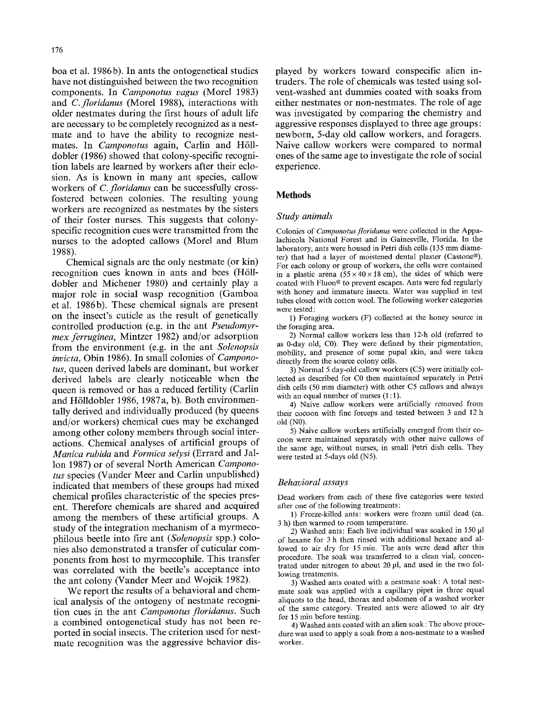boa et al. 1986b). In ants the ontogenetical studies have not distinguished between the two recognition components. In *Camponotus vagus* (Morel 1983) and *C.floridanus* (Morel 1988), interactions with older nestmates during the first hours of adult life are necessary to be completely recognized as a nestmate and to have the ability to recognize nestmates. In *Camponotus* again, Carlin and H611 dobler (1986) showed that colony-specific recognition labels are learned by workers after their eclosion. As is known in many ant species, callow workers of *C. floridanus* can be successfully crossfostered between colonies. The resulting young workers are recognized as nestmates by the sisters of their foster nurses. This suggests that colonyspecific recognition cues were transmitted from the nurses to the adopted callows (Morel and Blum 1988).

Chemical signals are the only nestmate (or kin) recognition cues known in ants and bees (Hölldobler and Michener 1980) and certainly play a major role in social wasp recognition (Oamboa et al. 1986b). These chemical signals are present on the insect's cUticle as the result of genetically controlled production (e.g. in the ant *Pseudomyrmex ferruginea,* Mintzer 1982) and/or adsorption from the environment (e.g. in the ant *Solenopsis invicta,* Obin 1986). In small colonies of *Camponotus,* queen derived labels are dominant, but worker derived labels are clearly noticeable when the queen is removed or has a reduced fertility (Carlin and H611dobler 1986, 1987a, b). Both environmentally derived and individually produced (by queens and/or workers) chemical cues may be exchanged among other colony members through social interactions. Chemical analyses of artificial groups of *Manica rubida* and *Formica selysi* (Errard and Jallon 1987) or of several North American *Camponotus* species (Vander Meer and Carlin unpublished) indicated that members of these groups had mixed chemical profiles characteristic of the species present. Therefore chemicals are shared and acquired among the members of these artificial groups. A study of the integration mechanism of a myrmecophilous beetle into fire ant *(Solenopsis* spp.) colonies also demonstrated a transfer of cuticular components from host to myrmecophile. This transfer was correlated with the beetle's acceptance into the ant colony (Vander Meer and Wojcik 1982).

We report the results of a behavioral and chemical analysis of the ontogeny of nestmate recognition cues in the ant *Camponotus floridanus.* Such a combined ontogenetical study has not been reported in social insects. The criterion used for nestmate recognition was the aggressive behavior displayed by workers toward conspecific alien intruders. The role of chemicals was tested using solvent-washed ant dummies coated with soaks from either nestmates or non-nestmates. The role of age was investigated by comparing the chemistry and aggressive responses displayed to three age groups: newborn, 5-day old callow workers, and foragers. Naive callow workers were compared to normal ones of the same age to investigate the role of social experience.

## **Methods**

#### *Study animals*

Colonies of *Camponotus floridanus* were collected in the Appalachicola National Forest and in Gainesville, Florida. In the laboratory, ants were housed in Petri dish cells (135 mm diameter) that had a layer of moistened dental plaster (Castone®). For each colony or group of workers, the cells were contained in a plastic arena  $(55 \times 40 \times 18 \text{ cm})$ , the sides of which were coated with Fluon<sup>®</sup> to prevent escapes. Ants were fed regularly with honey and immature insects. Water was supplied in test tubes closed with cotton wool. The following worker categories were tested:

1) Foraging workers (F) collected at the honey source in the foraging area.

2) Normal callow workers less than 12-h old (referred to as 0-day old, CO). They were defined by their pigmentation, mobility, and presence of some pupal skin, and were taken directly from the source colony cells.

3) Normal 5 day-old callow workers (C5) were initially collected as described for CO then maintained separately in Petri dish cells (50 mm diameter) with other C5 callows and always with an equal number of nurses  $(1:1)$ .

4) Naive callow workers were artificially removed from their cocoon with fine forceps and tested between 3 and 12 h old (NO).

5) Naive callow workers artificially emerged from their cocoon were maintained separately with other naive eallows of the same age, without nurses, in small Petri dish cells. They were tested at 5-days old (N5).

#### *Behavioral assays*

Dead workers from each of these five categories were tested after one of the following treatments:

1) Freeze-killed ants: workers were frozen until dead (ca. 3 h) then warmed to room temperature.

2) Washed ants: Each live individual was soaked in 150 µl of hexane for 3 h then rinsed with additional hexane and allowed to air dry for 15 min. The ants were dead after this procedure. The soak was transferred to a clean vial, concentrated under nitrogen to about 20  $\mu$ l, and used in the two following treatments.

3) Washed ants coated with a nestmate soak: A total nestmate soak was applied with a capillary pipet in three equal aliquots to the head, thorax and abdomen of a washed worker of the same category. Treated ants were allowed to air dry for 15 min before testing.

4) Washed ants coated with an alien soak: The above procedure was used to apply a soak from a non-nestmate to a washed worker.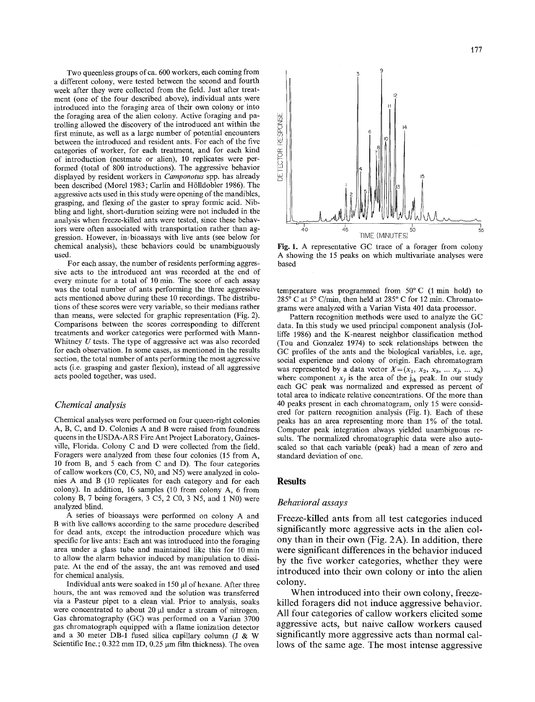Two queenless groups of ca. 600 workers, each coming from a different colony, were tested between the second and fourth week after they were collected from the field. Just after treatment (one of the four described above), individual ants were introduced into the foraging area of their own colony or into the foraging area of the alien colony. Active foraging and patrolling allowed the discovery of the introduced ant within the first minute, as well as a large number of potential encounters between the introduced and resident ants. For each of the five categories of worker, for each treatment, and for each kind of introduction (nestmate or alien), 10 replicates were performed (total of 800 introductions). The aggressive behavior displayed by resident workers in *Camponotus* spp. has already been described (Morel 1983; Carlin and H611dobler 1986). The aggressive acts used in this study were opening of the mandibles, grasping, and flexing of the gaster to spray formic acid. Nibbling and light, short-duration seizing were not included in the analysis when freeze-killed ants were tested, since these behaviors were often associated with transportation rather than aggression. However, in bioassays with live ants (see below for chemical analysis), these behaviors could be unambiguously used.

For each assay, the number of residents performing aggressive acts to the introduced ant was recorded at the end of every minute for a total of 10 min. The score of each assay was the total number of ants performing the three aggressive acts mentioned above during these 10 recordings. The distributions of these scores were very variable, so their medians rather than means, were selected for graphic representation (Fig. 2). Comparisons between the scores corresponding to different treatments and worker categories were performed with Mann-Whitney  $U$  tests. The type of aggressive act was also recorded for each observation, in some cases, as mentioned in the results section, the total number of ants performing the most aggressive acts (i.e. grasping and gaster flexion), instead of all aggressive acts pooled together, was used.

#### *Chemical analysis*

Chemical analyses were performed on four queen-right colonies A, B, C, and D. Colonies A and B were raised from foundress queens in the USDA-ARS Fire Ant Project Laboratory, Gainesville, Florida. Colony C and D were collected from the field. Foragers were analyzed from these four colonies (15 from A, 10 from B, and 5 each from C and D). The four categories of callow workers (CO, C5, NO, and N5) were analyzed in colonies A and B (10 replicates for each category and for each colony). In addition, 16 samples (10 from colony A, 6 from colony B, 7 being foragers, 3 C5, 2 CO, 3 N5, and 1 NO) were analyzed blind.

A series of bioassays were performed on colony A and B with live callows according to the same procedure described for dead ants, except the introduction procedure which was specific for live ants : Each ant was introduced into the foraging area under a glass tube and maintained like this for 10 min to allow the alarm behavior induced by manipulation to dissipate. At the end of the assay, the ant was removed and used for chemical analysis.

Individual ants were soaked in 150 gl of hexane. After three hours, the ant was removed and the solution was transferred via a Pasteur pipet to a clean vial. Prior to analysis, soaks were concentrated to about  $20 \mu l$  under a stream of nitrogen. Gas chromatography (GC) was performed on a Varian 3700 gas chromatograph equipped with a flame ionization detector and a 30 meter DB-1 fused silica capillary column (J & W Scientific Inc.; 0.322 mm ID, 0.25 µm film thickness). The oven



Fig. 1. A representative GC trace of a forager from colony A showing the 15 peaks on which multivariate analyses were based

temperature was programmed from  $50^{\circ}$  C (1 min hold) to 285 $\degree$  C at 5 $\degree$  C/min, then held at 285 $\degree$  C for 12 min. Chromatograms were analyzed with a Varian Vista 401 data processor.

Pattern recognition methods were used to analyze the GC data. In this study we used principal component analysis (Jolliffe 1986) and the K-nearest neighbor classification method (Ton and Gonzalez 1974) to seek relationships between the GC profiles of the ants and the biological variables, i.e. age, social experience and colony of origin. Each chromatogram was represented by a data vector  $X = (x_1, x_2, x_3, \dots, x_i, \dots, x_n)$ where component  $x_i$  is the area of the  $j_{th}$  peak. In our study each GC peak was normalized and expressed as percent of total area to indicate relative concentrations. Of the more than 40 peaks present in each chromatogram, only 15 were considered for pattern recognition analysis (Fig. 1). Each of these peaks has an area representing more than 1% of the total. Computer peak integration always yielded unambiguous results. The normalized chromatographic data were also autoscaled so that each variable (peak) had a mean of zero and standard deviation of one.

#### **Results**

#### *Behavioral assays*

Freeze-killed ants from all test categories induced significantly more aggressive acts in the alien colony than in their own (Fig. 2A). In addition, there were significant differences in the behavior induced by the five worker categories, whether they were introduced into their own colony or into the alien colony.

When introduced into their own colony, freezekilled foragers did not induce aggressive behavior. All four categories of callow workers elicited some aggressive acts, but naive callow workers caused significantly more aggressive acts than normal callows of the same age. The most intense aggressive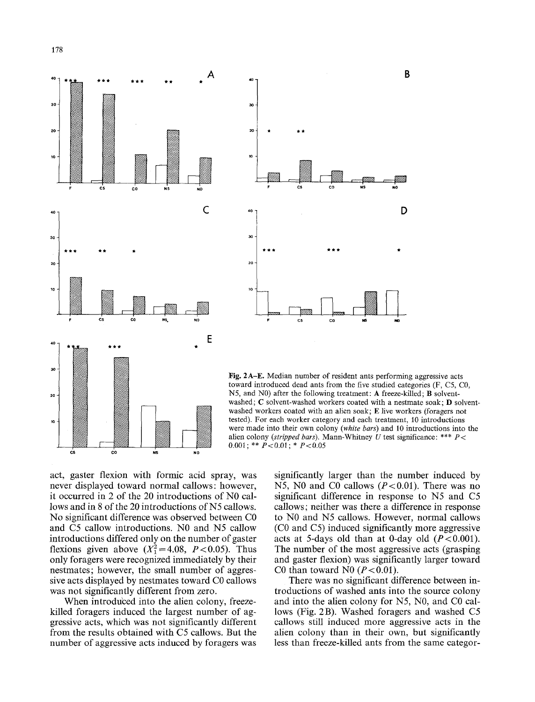



Fig. 2A-E. Median number of resident ants performing aggressive acts toward introduced dead ants from the five studied categories (F, C5, CO, N5, and NO) after the following treatment: A freeze-killed; B solventwashed; C solvent-washed workers coated with a nestmate soak; D solventwashed workers coated with an alien soak; E live workers (foragers not tested). For each worker category and each treatment, I0 introductions were made into their own colony *(white bars)* and 10 introductions into the alien colony *(stripped bars).* Mann-Whitney U test significance: \*\*\* P<  $0.001$ ; \*\*  $P < 0.01$ ; \*  $P < 0.05$ 

act, gaster flexion with formic acid spray, was never displayed toward normal callows: however, it occurred in 2 of the 20 introductions of NO callows and in 8 of the 20 introductions of N5 callows. No significant difference was observed between CO and C5 callow introductions. NO and N5 callow introductions differed only on the number of gaster flexions given above  $(X_1^2=4.08, P<0.05)$ . Thus only foragers were recognized immediately by their nestmates; however, the small number of aggressive acts displayed by nestmates toward CO callows was not significantly different from zero.

When introduced into the alien colony, freezekilled foragers induced the largest number of aggressive acts, which was not significantly different from the results obtained with C5 callows. But the number of aggressive acts induced by foragers was

significantly larger than the number induced by N5, N0 and C0 callows  $(P<0.01)$ . There was no significant difference in response to N5 and C5 callows; neither was there a difference in response to NO and N5 callows. However, normal callows (CO and C5) induced significantly more aggressive acts at 5-days old than at 0-day old  $(P<0.001)$ . The number of the most aggressive acts (grasping and gaster flexion) was significantly larger toward C0 than toward N0  $(P<0.01)$ .

There was no significant difference between introductions of washed ants into the source colony and into the alien colony for N5, NO, and CO callows (Fig. 2B). Washed foragers and washed C5 callows still induced more aggressive acts in the alien colony than in their own, but significantly less than freeze-killed ants from the same categor-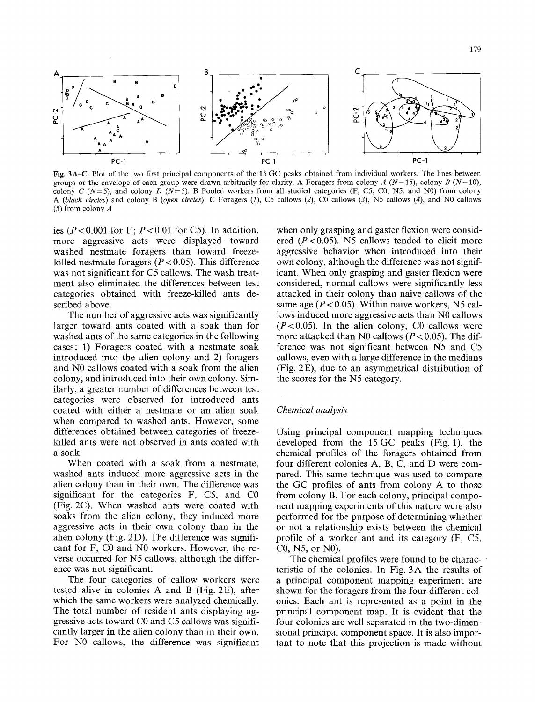

Fig. 3A-C. Plot of the two first principal components of the 15 GC peaks obtained from individual workers. The lines between groups or the envelope of each group were drawn arbitrarily for clarity. A Foragers from colony A ( $N=15$ ), colony B ( $N=10$ ), colony C ( $N=5$ ), and colony D ( $N=5$ ). B Pooled workers from all studied categories (F, C5, C0, N5, and N0) from colony *A (black circles)* and colony B *(open circles).* C Foragers (1), C5 callows (2), CO callows (3), N5 callows (4), and NO callows (5) from colony A

ies ( $P < 0.001$  for F;  $P < 0.01$  for C5). In addition, more aggressive acts were displayed toward washed nestmate foragers than toward freezekilled nestmate foragers ( $P < 0.05$ ). This difference was not significant for C5 callows. The wash treatment also eliminated the differences between test categories obtained with freeze-killed ants described above.

The number of aggressive acts was significantly larger toward ants coated with a soak than for washed ants of the same categories in the following cases: 1) Foragers coated with a nestmate soak introduced into the alien colony and 2) foragers and NO callows coated with a soak from the alien colony, and introduced into their own colony. Similarly, a greater number of differences between test categories were observed for introduced ants coated with either a nestmate or an alien soak when compared to washed ants. However, some differences obtained between categories of freezekilled ants were not observed in ants coated with a soak.

When coated with a soak from a nestmate, washed ants induced more aggressive acts in the alien colony than in their own. The difference was significant for the categories F, C5, and CO (Fig. 2C). When washed ants were coated with soaks from the alien colony, they induced more aggressive acts in their own colony than in the alien colony (Fig. 2D). The difference was significant for F, CO and NO workers. However, the reverse occurred for N5 callows, although the difference was not significant.

The four categories of callow workers were tested alive in colonies A and B (Fig. 2E), after which the same workers were analyzed chemically. The total number of resident ants displaying aggressive acts toward CO and C5 callows was significantly larger in the alien colony than in their own. For NO callows, the difference was significant

when only grasping and gaster flexion were considered  $(P<0.05)$ . N5 callows tended to elicit more aggressive behavior when introduced into their own colony, although the difference was not significant. When only grasping and gaster flexion were considered, normal callows were significantly less attacked in their colony than naive callows of the same age ( $P < 0.05$ ). Within naive workers, N5 callows induced more aggressive acts than NO callows  $(P<0.05)$ . In the alien colony, C0 callows were more attacked than N0 callows ( $P < 0.05$ ). The difference was not significant between N5 and C5 callows, even with a large difference in the medians (Fig. 2E), due to an asymmetrical distribution of the scores for the N5 category.

## *Chemical analysis*

Using principal component mapping techniques developed from the 15 GC peaks (Fig. 1), the chemical profiles of the foragers obtained from four different colonies A, B, C, and D were compared. This same technique was used to compare the GC profiles of ants from colony A to those from colony B. For each colony, principal component mapping experiments of this nature were also performed for the purpose of determining whether or not a relationship exists between the chemical profile of a worker ant and its category (F, C5, CO, N5, or NO).

The chemical profiles were found to be characteristic of the colonies. In Fig. 3 A the results of a principal component mapping experiment are shown for the foragers from the four different colonies. Each ant is represented as a point in the principal component map. It is evident that the four colonies are well separated in the two-dimensional principal component space. It is also important to note that this projection is made without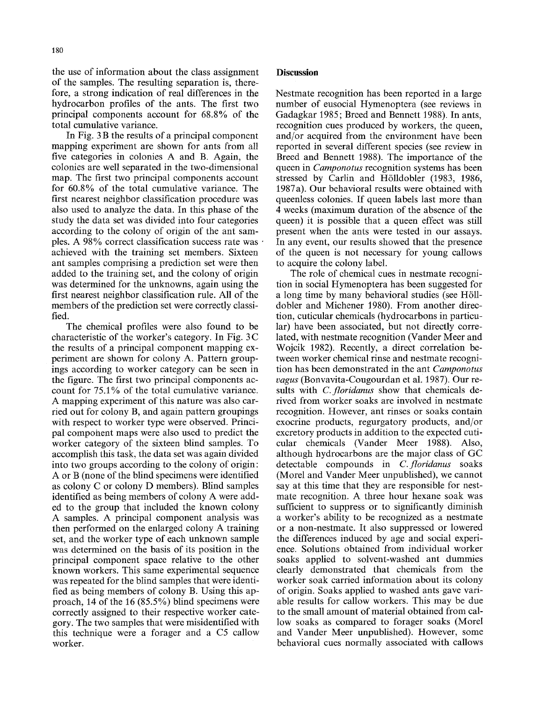the use of information about the class assignment of the samples. The resulting separation is, therefore, a strong indication of real differences in the hydrocarbon profiles of the ants. The first two principal components account for 68.8% of the total cumulative variance.

In Fig. 3 B the results of a principal component mapping experiment are shown for ants from all five categories in colonies A and B. Again, the colonies are well separated in the two-dimensional map. The first two principal components account for 60.8% of the total cumulative variance. The first nearest neighbor classification procedure was also used to analyze the data. In this phase of the study the data set was divided into four categories according to the colony of origin of the ant samples. A 98% correct classification success rate was achieved with the training set members. Sixteen ant samples comprising a prediction set were then added to the training set, and the colony of origin was determined for the unknowns, again using the first nearest neighbor classification rule. All of the members of the prediction set were correctly classified.

The chemical profiles were also found to be characteristic of the worker's category. In Fig. 3 C the results of a principal component mapping experiment are shown for colony A. Pattern groupings according to worker category can be seen in the figure. The first two principal components account for 75.1% of the total cumulative variance. A mapping experiment of this nature was also carried out for colony B, and again pattern groupings with respect to worker type were observed. Principal compohent maps were also used to predict the worker category of the sixteen blind samples. To accomplish this task, the data set was again divided into two groups according to the colony of origin: A or B (none of the blind specimens were identified as colony C or colony D members). Blind samples identified as being members of colony A were added to the group that included the known colony A samples. A principal component analysis was then performed on the enlarged colony A training set, and the worker type of each unknown sample was determined on the basis of its position in the principal component space relative to the other known workers. This same experimental sequence was repeated for the blind samples that were identified as being members of colony B. Using this approach, 14 of the 16 (85.5%) blind specimens were correctly assigned to their respective worker category. The two samples that were misidentified with this technique were a forager and a C5 callow worker.

#### **Discussion**

Nestmate recognition has been reported in a large number of eusocial Hymenoptera (see reviews in Gadagkar 1985; Breed and Bennett 1988). In ants, recognition cues produced by workers, the queen, and/or acquired from the environment have been reported in several different species (see review in Breed and Bennett 1988). The importance of the queen in *Camponotus* recognition systems has been stressed by Carlin and Hölldobler (1983, 1986, 1987a). Our behavioral results were obtained with queenless colonies. If queen labels last more than 4 weeks (maximum duration of the absence of the queen) it is possible that a queen effect was still present when the ants were tested in our assays. In any event, our results showed that the presence of the queen is not necessary for young callows to acquire the colony label.

The role of chemical cues in nestmate recognition in social Hymenoptera has been suggested for a long time by many behavioral studies (see Hölldobler and Michener 1980). From another direction, cuticular chemicals (hydrocarbons in particular) have been associated, but not directly correlated, with nestmate recognition (Vander Meer and Wojcik 1982). Recently, a direct correlation between worker chemical rinse and nestmate recognition has been demonstrated in the ant *Camponotus vagus* (Bonvavita-Cougourdan et al. 1987). Our results with *C.floridanus* show that chemicals derived from worker soaks are involved in nestmate recognition. However, ant rinses or soaks contain exocrine products, regurgatory products, and/or excretory products in addition to the expected cuticular chemicals (Vander Meer 1988). Also, although hydrocarbons are the major class of GC detectable compounds in *C.floridanus* soaks (Morel and Vander Meer unpublished), we cannot say at this time that they are responsible for nestmate recognition. A three hour hexane soak was sufficient to suppress or to significantly diminish a worker's ability to be recognized as a nestmate or a non-nestmate. It also suppressed or lowered the differences induced by age and social experience. Solutions obtained from individual worker soaks applied to solvent-washed ant dummies clearly demonstrated that chemicals from the worker soak carried information about its colony of origin. Soaks applied to washed ants gave variable results for callow workers. This may be due to the small amount of material obtained from callow soaks as compared to forager soaks (Morel and Vander Meer unpublished). However, some behavioral cues normally associated with callows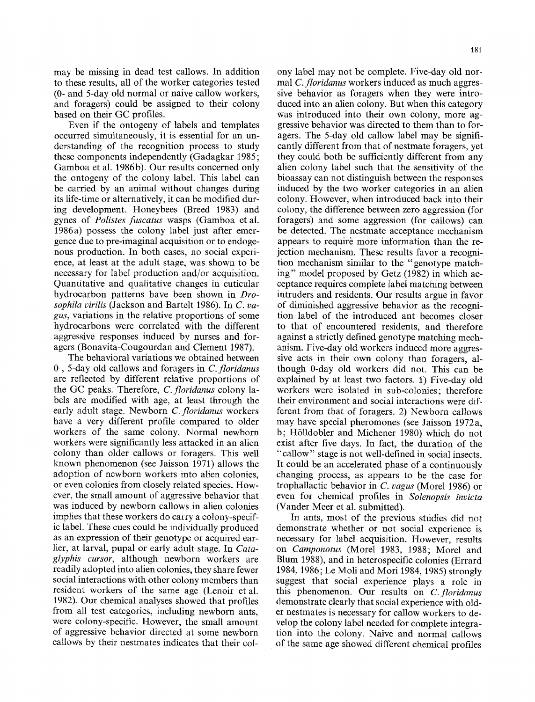may be missing in dead test callows. In addition to these results, all of the worker categories tested (0- and 5-day old normal or naive callow workers, and foragers) could be assigned to their colony based on their GC profiles.

Even if the ontogeny of labels and templates occurred simultaneously, it is essential for an understanding of the recognition process to study these components independently (Gadagkar 1985; Gamboa et al. 1986b). Our results concerned only the ontogeny of the colony label. This label can be carried by an animal without changes during its life-time or alternatively, it can be modified during development. Honeybees (Breed 1983) and gynes of *Polistes fuscatus* wasps (Gamboa et al. 1986a) possess the colony label just after emergence due to pre-imaginal acquisition or to endogenous production. In both cases, no social experience, at least at the adult stage, was shown to be necessary for label production and/or acquisition. Quantitative and qualitative changes in cuticular hydrocarbon patterns have been shown in *Dro*sophila virilis (Jackson and Bartelt 1986). In *C. vagus,* variations in the relative proportions of some hydrocarbons were correlated with the different aggressive responses induced by nurses and foragers (Bonavita-Cougourdan and Clement 1987).

The behavioral variations we obtained between 0-, 5-day old callows and foragers in *C. floridanus*  are reflected by different relative proportions of the GC peaks: Therefore, *C.floridanus* colony labels are modified with age, at least through the early adult stage. Newborn *C.floridanus* workers have a very different profile compared to older workers of the same colony. Normal newborn workers were significantly less attacked in an alien colony than older callows or foragers. This well known phenomenon (see Jaisson 1971) allows the adoption of newborn workers into alien colonies, or even colonies from closely related species. However, the small amount of aggressive behavior that was induced by newborn callows in alien colonies implies that these workers do carry a colony-specific label. These cues could be individually produced as an expression of their genotype or acquired earlier, at larval, pupal or early adult stage. In *Cataglyphis cursor,* although newborn workers are readily adopted into alien colonies, they share fewer social interactions with other colony members than resident workers of the same age (Lenoir et al. 1982). Our chemical analyses showed that profiles from all test categories, including newborn ants, were colony-specific. However, the small amount of aggressive behavior directed at some newborn callows by their nestmates indicates that their colony label may not be complete. Five-day old normal *C. fioridanus* workers induced as much aggressive behavior as foragers when they were introduced into an alien colony. But when this category was introduced into their own colony, more aggressive behavior was directed to them than to foragers. The 5-day old callow label may be significantly different from that of nestmate foragers, yet they could both be sufficiently different from any alien colony label such that the sensitivity of the bioassay can not distinguish between the responses induced by the two worker categories in an alien colony. However, when introduced back into their colony, the difference between zero aggression (for foragers) and some aggression (for callows) can be detected. The nestmate acceptance mechanism appears to require more information than the rejection mechanism. These results favor a recognition mechanism similar to the *"'* genotype matching" model proposed by Getz (1982) in which acceptance requires complete label matching between intruders and residents. Our results argue in favor of diminished aggressive behavior as the recognition label of the introduced ant becomes closer to that of encountered residents, and therefore against a strictly defined genotype matching mechanism. Five-day old workers induced more aggressive acts in their own colony than foragers, although 0-day old workers did not. This can be explained by at least two factors. 1) Five-day old workers were isolated in sub-colonies; therefore their environment and social interactions were different from that of foragers. 2) Newborn callows may have special pheromones (see Jaisson 1972a, b; H611dobler and Michener 1980) which do not exist after five days. In fact, the duration of the "callow" stage is not well-defined in social insects. It could be an accelerated phase of a continuously changing process, as appears to be the case for trophallactic behavior in *C. vagus* (Morel 1986) or even for chemical profiles in *Solenopsis invicta*  (Vander Meer et al. submitted).

In ants, most of the previous studies did not demonstrate whether or not social experience is necessary for label acquisition. However, results on *Camponotus* (Morel 1983, 1988; Morel and Blum 1988), and in heterospecific colonies (Errard 1984, 1986; Le Moli and Mori 1984, 1985) strongly suggest that social experience plays a role in this phenomenon. Our results on *C.floridanus*  demonstrate clearly that social experience with older nestmates is necessary for callow workers to develop the colony label needed for complete integration into the colony. Naive and normal callows of the same age showed different chemical profiles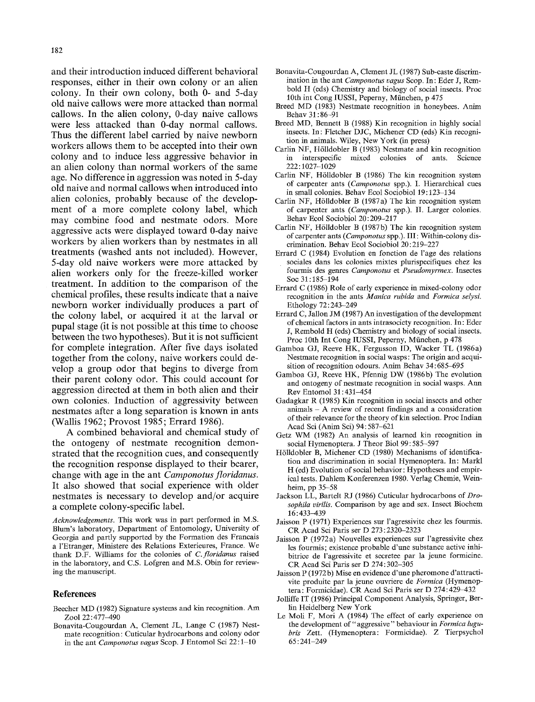**and their introduction induced different behavioral responses, either in their own colony or an alien colony. In their own colony, both 0- and 5-day old naive callows were more attacked than normal callows. In the alien colony, 0-day naive callows were less attacked than 0-day normal callows. Thus the different label carried by naive newborn workers allows them to be accepted into their own colony and to induce less aggressive behavior in an alien colony than normal workers of the same age. No difference in aggression was noted in 5-day old naive and normal callows when introduced into alien colonies, probably because of the development of a more complete colony label, which may combine food and nestmate odors. More aggressive acts were displayed toward 0-day naive workers by alien workers than by nestmates in all treatments (washed ants not included). However, 5-day old naive workers were more attacked by alien workers only for the freeze-killed worker treatment. In addition to the comparison of the chemical profiles, these results indicate that a naive newborn worker individually produces a part of the colony label, or acquired it at the larval or pupal stage (it is not possible at this time to choose between the two hypotheses). But it is not sufficient for complete integration. After five days isolated together from the colony, naive workers could develop a group odor that begins to diverge from their parent colony odor. This could account for**  aggression directed at them in both alien and their **own colonies. Induction of aggressivity between nestmates after a long separation is known in ants (Wallis 1962; Provost 1985; Errard 1986).** 

**A combined behavioral and chemical study of the ontogeny of nestmate recognition demonstrated that the recognition cues, and consequently the recognition response displayed to their bearer, change with age in the ant** *Camponotusfloridanus.*  **It also showed that social experience with older nestmates is necessary to develop and/or acquire a complete colony-specific label.** 

*Acknowledgements.* **This work was in part performed in M.S. Blum's laboratory, Department of Entomology, University of Georgia and partly supported by the Formation des Francais a l'Etranger, Ministere des Relations Exterieures, France. We thank D.F. Williams for the colonies of** *C.floridanus* **raised in the laboratory, and C.S. Lofgren and M.S. Obin for reviewing the manuscript.** 

#### **References**

- Beecher MD (1982) Signature systems and kin recognition. Am Zool 22: 477-490
- Bonavita-Cougourdan A, Clement JL, Lange C (1987) Nestmate recognition: Cuticular hydrocarbons and colony **odor**  in the ant *Camponotus vagus* Scop. J Entomol Sci 22:1-10
- Bonavita-Cougourdan A, Clement JL (1987) Sub-caste discrimination in the ant *Camponotus vagus* Scop. In: Eder J, Rembold H (eds) Chemistry and biology of social insects. Proc 10th int Cong IUSSI, Peperny, München, p 475
- Breed MD (1983) Nestmate recognition in honeybees. Anim Behav 31 : 86-91
- Breed MD, Bennett B (1988) Kin recognition in highly social insects. In: Fletcher DJC, Michener CD (eds) Kin recognition in animals. Wiley, New York (in press)
- Carlin NF, H611dobler B (1983) Nestmate and kin recognition in interspecific mixed colonies of ants. Science 222:1027-1029
- Carlin NF, H611dobler B (1986) The kin recognition system **of** carpenter ants *(Camponotus* spp.). I. Hierarchical cues in small colonies. Behav Ecol Sociobiol 19:123-134
- Carlin NF, H611dobler B (1987a) The kin recognition system **of** carpenter ants *(Camponotus* spp.). II. Larger colonies. Behav Ecol Sociobiol 20:209-217
- Carlin NF, H611dobler B (1987b) The kin recognition system **of** carpenter ants *(Camponotus* spp.). III: Within-colony disefimination. Behav Ecol Sociobiol 20: 219-227
- Errard C (1984) Evolution en fonction de l'age des relations sociales dans les colonies mixtes plurispecifiques chez les fourmis des genres *Camponotus* et *Pseudomyrmex.* Insectes Soc 31 : 185-194
- Errard C (1986) Role of early experience in mixed-colony **odor**  recognition in the ants *Manica rubida* and *Formica selysi.*  **Ethology** 72: 243-249
- Errard C, Jallon JM (1987) An investigation of the development **of** chemical factors in ants intrasociety recognition. In: Eder J, Rembold H (eds) Chemistry and biology of social insects. Proc 10th Int Cong IUSSI, Peperny, München, p 478
- Gamboa GJ, Reeve HK, Fergusson ID, Wacker TL (1986a) Nestmate recognition in social wasps: The origin and acquisition of recognition odours. Anim Behav 34:685-695
- Gamboa GJ, Reeve HK, Pfennig DW (1986b) The evolution and ontogeny of nestmate recognition in social wasps. Ann Rev Entomol 31:431-454
- Gadagkar R (1985) Kin recognition in social insects and **other**   $animals - A$  review of recent findings and a consideration **of** their relevance **for the theory of** kin selection. Proc Indian Acad Sci (Anim Sci) 94: 587-621
- Getz WM (1982) An analysis of learned kin recognition in social Hymenoptera. J Theor Biol 99 : 585-597
- H611dobler B, Michener CD (1980) Mechanisms of identification and discrimination in social Hymenoptera. In: Markl H (ed) Evolution of social behavior: Hypotheses and empirical tests. Dahlem Konferenzen 1980. Verlag Chemic, Weinheim, pp 35-58
- Jackson LL, Bartelt RJ (1986) Cuticular hydrocarbons of *Drosophila virilis.* Comparison by age and sex. Insect Biochem 16: 433-439
- Jaisson P (1971) Experiences sur l'agressivite chez les fourmis. CR Acad Sci Paris ser D 273 : 2320-2323
- Jaisson P (1972a) Nouvelles experiences sur l'agressivite chez les fourmis; existence probable d'une substance active inhibitrice de l'agressivite et secretee par la jeune formicine. CR Acad Sci Paris ser D 274: 302-305
- Jaisson P (1972 b) Mise en evidence d'une pheromone d'attractirite produite par la jeune ouvriere de *Formica* (Hymenoptera: Formicidae). CR Acad Sci Paris ser D 274:429-432
- Jolliffe IT (1986) Principal Component Analysis, Springer, Berlin Heidelberg New York
- Le Moli F, Mori A (1984) The effect of early experience on **the development of"** aggressive" behaviour in *Formica lugubris* Zett. (Hymenoptera: Formicidae). Z Tierpsychol 65 : 241-249